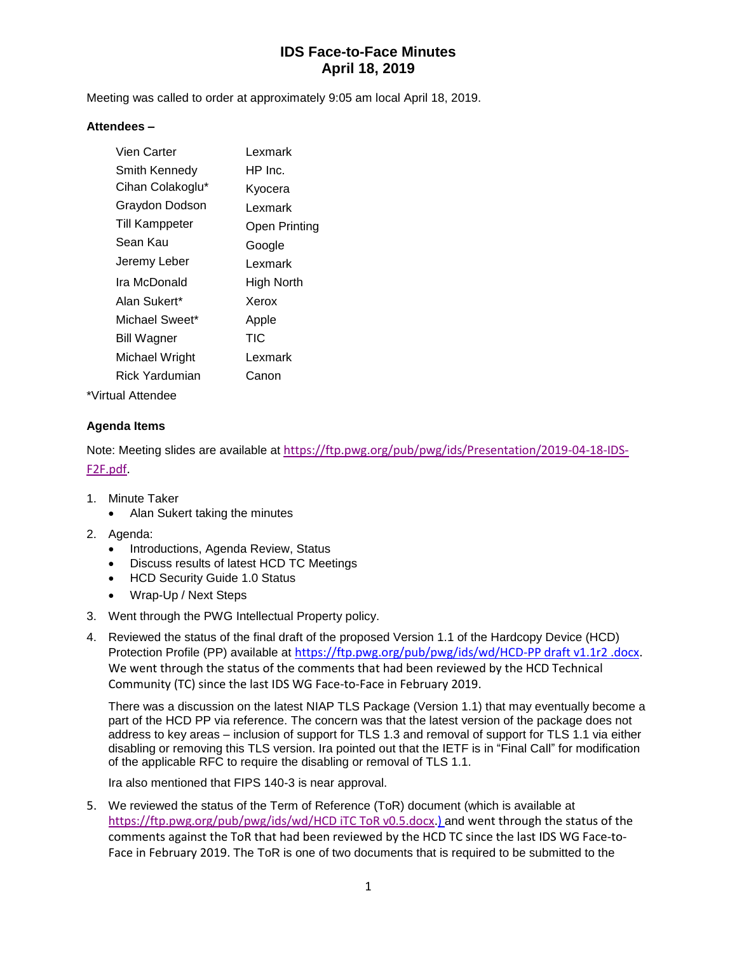Meeting was called to order at approximately 9:05 am local April 18, 2019.

#### **Attendees –**

| Vien Carter           | Lexmark           |
|-----------------------|-------------------|
| Smith Kennedy         | HP Inc.           |
| Cihan Colakoglu*      | Kyocera           |
| Graydon Dodson        | Lexmark           |
| Till Kamppeter        | Open Printing     |
| Sean Kau              | Google            |
| Jeremy Leber          | Lexmark           |
| Ira McDonald          | <b>High North</b> |
| Alan Sukert*          | Xerox             |
| Michael Sweet*        | Apple             |
| Bill Wagner           | TIC               |
| Michael Wright        | Lexmark           |
| <b>Rick Yardumian</b> | Canon             |
|                       |                   |

\*Virtual Attendee

#### **Agenda Items**

Note: Meeting slides are available at [https://ftp.pwg.org/pub/pwg/ids/Presentation/2019-04-18-IDS-](https://ftp.pwg.org/pub/pwg/ids/Presentation/2019-04-18-IDS-F2F.pdf)[F2F.pdf.](https://ftp.pwg.org/pub/pwg/ids/Presentation/2019-04-18-IDS-F2F.pdf)

- 1. Minute Taker
	- Alan Sukert taking the minutes
- 2. Agenda:
	- Introductions, Agenda Review, Status
	- Discuss results of latest HCD TC Meetings
	- HCD Security Guide 1.0 Status
	- Wrap-Up / Next Steps
- 3. Went through the PWG Intellectual Property policy.
- 4. Reviewed the status of the final draft of the proposed Version 1.1 of the Hardcopy Device (HCD) Protection Profile (PP) available at [https://ftp.pwg.org/pub/pwg/ids/wd/HCD-PP draft v1.1r2 .docx.](https://ftp.pwg.org/pub/pwg/ids/wd/HCD-PP%20draft%20v1.1r2%20.docx) We went through the status of the comments that had been reviewed by the HCD Technical Community (TC) since the last IDS WG Face-to-Face in February 2019.

There was a discussion on the latest NIAP TLS Package (Version 1.1) that may eventually become a part of the HCD PP via reference. The concern was that the latest version of the package does not address to key areas – inclusion of support for TLS 1.3 and removal of support for TLS 1.1 via either disabling or removing this TLS version. Ira pointed out that the IETF is in "Final Call" for modification of the applicable RFC to require the disabling or removal of TLS 1.1.

Ira also mentioned that FIPS 140-3 is near approval.

5. We reviewed the status of the Term of Reference (ToR) document (which is available at [https://ftp.pwg.org/pub/pwg/ids/wd/HCD iTC ToR v0.5.docx.](https://ftp.pwg.org/pub/pwg/ids/wd/HCD%20iTC%20ToR%20v0.5.docx)) and went through the status of the comments against the ToR that had been reviewed by the HCD TC since the last IDS WG Face-to-Face in February 2019. The ToR is one of two documents that is required to be submitted to the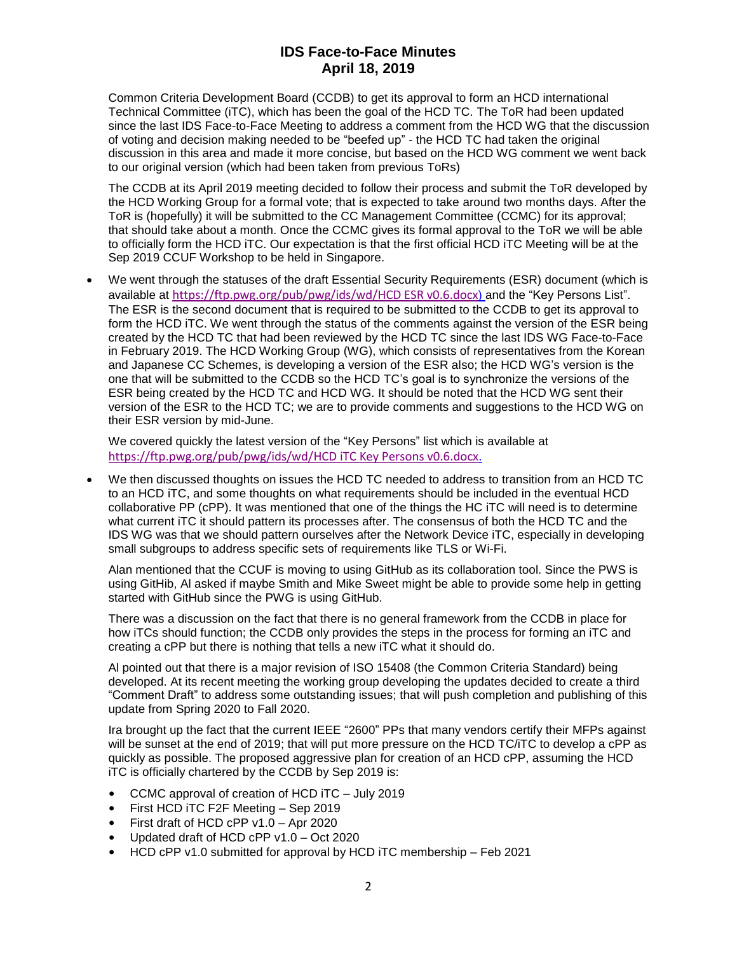Common Criteria Development Board (CCDB) to get its approval to form an HCD international Technical Committee (iTC), which has been the goal of the HCD TC. The ToR had been updated since the last IDS Face-to-Face Meeting to address a comment from the HCD WG that the discussion of voting and decision making needed to be "beefed up" - the HCD TC had taken the original discussion in this area and made it more concise, but based on the HCD WG comment we went back to our original version (which had been taken from previous ToRs)

The CCDB at its April 2019 meeting decided to follow their process and submit the ToR developed by the HCD Working Group for a formal vote; that is expected to take around two months days. After the ToR is (hopefully) it will be submitted to the CC Management Committee (CCMC) for its approval; that should take about a month. Once the CCMC gives its formal approval to the ToR we will be able to officially form the HCD iTC. Our expectation is that the first official HCD iTC Meeting will be at the Sep 2019 CCUF Workshop to be held in Singapore.

• We went through the statuses of the draft Essential Security Requirements (ESR) document (which is available at [https://ftp.pwg.org/pub/pwg/ids/wd/HCD ESR v0.6.docx](https://ftp.pwg.org/pub/pwg/ids/wd/HCD%20ESR%20v0.6.docx)) and the "Key Persons List". The ESR is the second document that is required to be submitted to the CCDB to get its approval to form the HCD iTC. We went through the status of the comments against the version of the ESR being created by the HCD TC that had been reviewed by the HCD TC since the last IDS WG Face-to-Face in February 2019. The HCD Working Group (WG), which consists of representatives from the Korean and Japanese CC Schemes, is developing a version of the ESR also; the HCD WG's version is the one that will be submitted to the CCDB so the HCD TC's goal is to synchronize the versions of the ESR being created by the HCD TC and HCD WG. It should be noted that the HCD WG sent their version of the ESR to the HCD TC; we are to provide comments and suggestions to the HCD WG on their ESR version by mid-June.

We covered quickly the latest version of the "Key Persons" list which is available at [https://ftp.pwg.org/pub/pwg/ids/wd/HCD iTC Key Persons v0.6.docx](https://ftp.pwg.org/pub/pwg/ids/wd/HCD%20iTC%20Key%20Persons%20v0.6.docx).

• We then discussed thoughts on issues the HCD TC needed to address to transition from an HCD TC to an HCD iTC, and some thoughts on what requirements should be included in the eventual HCD collaborative PP (cPP). It was mentioned that one of the things the HC iTC will need is to determine what current iTC it should pattern its processes after. The consensus of both the HCD TC and the IDS WG was that we should pattern ourselves after the Network Device iTC, especially in developing small subgroups to address specific sets of requirements like TLS or Wi-Fi.

Alan mentioned that the CCUF is moving to using GitHub as its collaboration tool. Since the PWS is using GitHib, Al asked if maybe Smith and Mike Sweet might be able to provide some help in getting started with GitHub since the PWG is using GitHub.

There was a discussion on the fact that there is no general framework from the CCDB in place for how iTCs should function; the CCDB only provides the steps in the process for forming an iTC and creating a cPP but there is nothing that tells a new iTC what it should do.

Al pointed out that there is a major revision of ISO 15408 (the Common Criteria Standard) being developed. At its recent meeting the working group developing the updates decided to create a third "Comment Draft" to address some outstanding issues; that will push completion and publishing of this update from Spring 2020 to Fall 2020.

Ira brought up the fact that the current IEEE "2600" PPs that many vendors certify their MFPs against will be sunset at the end of 2019; that will put more pressure on the HCD TC/iTC to develop a cPP as quickly as possible. The proposed aggressive plan for creation of an HCD cPP, assuming the HCD iTC is officially chartered by the CCDB by Sep 2019 is:

- CCMC approval of creation of HCD iTC July 2019
- First HCD iTC F2F Meeting Sep 2019
- First draft of HCD cPP v1.0 Apr 2020
- Updated draft of HCD cPP v1.0 Oct 2020
- HCD cPP v1.0 submitted for approval by HCD iTC membership Feb 2021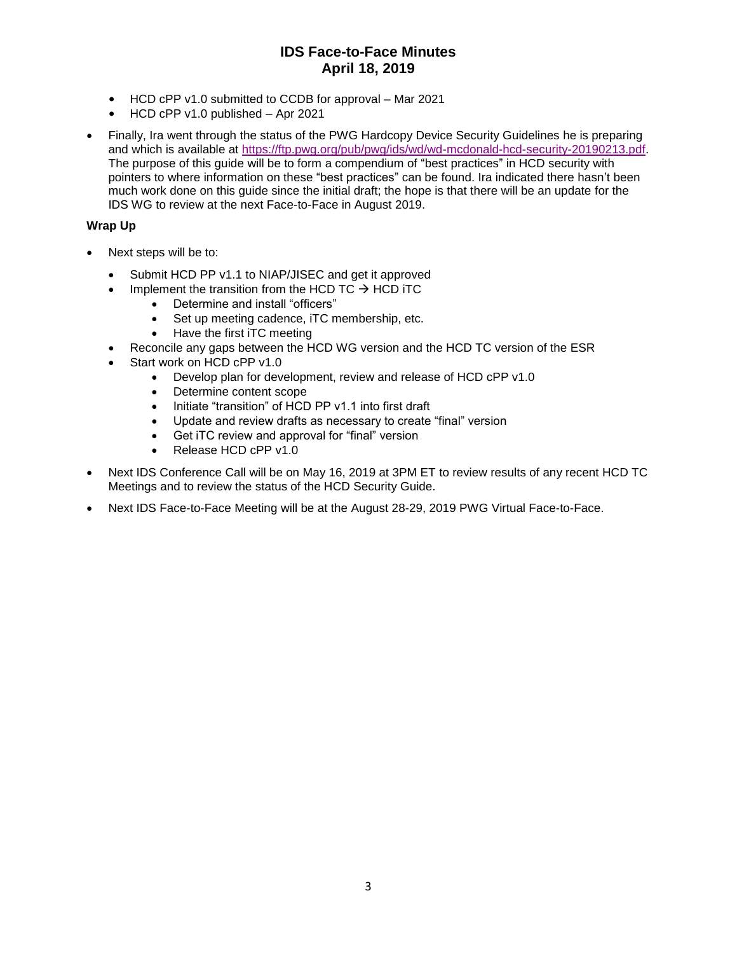- HCD cPP v1.0 submitted to CCDB for approval Mar 2021
- HCD cPP v1.0 published Apr 2021
- Finally, Ira went through the status of the PWG Hardcopy Device Security Guidelines he is preparing and which is available at [https://ftp.pwg.org/pub/pwg/ids/wd/wd-mcdonald-hcd-security-20190213.pdf.](https://ftp.pwg.org/pub/pwg/ids/wd/wd-mcdonald-hcd-security-20190213.pdf) The purpose of this guide will be to form a compendium of "best practices" in HCD security with pointers to where information on these "best practices" can be found. Ira indicated there hasn't been much work done on this guide since the initial draft; the hope is that there will be an update for the IDS WG to review at the next Face-to-Face in August 2019.

### **Wrap Up**

- Next steps will be to:
	- Submit HCD PP v1.1 to NIAP/JISEC and get it approved
		- Implement the transition from the HCD TC  $\rightarrow$  HCD iTC
			- Determine and install "officers"
			- Set up meeting cadence, iTC membership, etc.
			- Have the first iTC meeting
	- Reconcile any gaps between the HCD WG version and the HCD TC version of the ESR
	- Start work on HCD cPP v1.0
		- Develop plan for development, review and release of HCD cPP v1.0
		- Determine content scope
		- Initiate "transition" of HCD PP v1.1 into first draft
		- Update and review drafts as necessary to create "final" version
		- Get iTC review and approval for "final" version
		- Release HCD cPP v1.0
- Next IDS Conference Call will be on May 16, 2019 at 3PM ET to review results of any recent HCD TC Meetings and to review the status of the HCD Security Guide.
- Next IDS Face-to-Face Meeting will be at the August 28-29, 2019 PWG Virtual Face-to-Face.